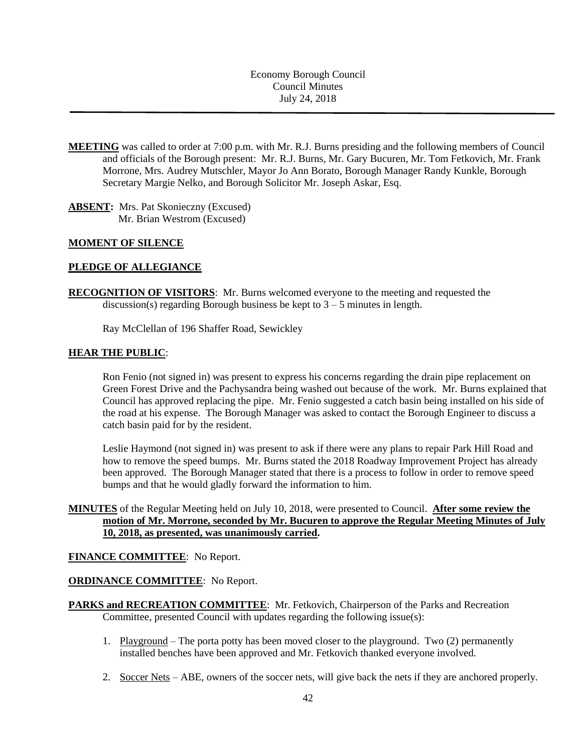Economy Borough Council Council Minutes July 24, 2018

- **MEETING** was called to order at 7:00 p.m. with Mr. R.J. Burns presiding and the following members of Council and officials of the Borough present: Mr. R.J. Burns, Mr. Gary Bucuren, Mr. Tom Fetkovich, Mr. Frank Morrone, Mrs. Audrey Mutschler, Mayor Jo Ann Borato, Borough Manager Randy Kunkle, Borough Secretary Margie Nelko, and Borough Solicitor Mr. Joseph Askar, Esq.
- **ABSENT:** Mrs. Pat Skonieczny (Excused) Mr. Brian Westrom (Excused)

## **MOMENT OF SILENCE**

### **PLEDGE OF ALLEGIANCE**

**RECOGNITION OF VISITORS**: Mr. Burns welcomed everyone to the meeting and requested the discussion(s) regarding Borough business be kept to  $3 - 5$  minutes in length.

Ray McClellan of 196 Shaffer Road, Sewickley

### **HEAR THE PUBLIC**:

Ron Fenio (not signed in) was present to express his concerns regarding the drain pipe replacement on Green Forest Drive and the Pachysandra being washed out because of the work. Mr. Burns explained that Council has approved replacing the pipe. Mr. Fenio suggested a catch basin being installed on his side of the road at his expense. The Borough Manager was asked to contact the Borough Engineer to discuss a catch basin paid for by the resident.

Leslie Haymond (not signed in) was present to ask if there were any plans to repair Park Hill Road and how to remove the speed bumps. Mr. Burns stated the 2018 Roadway Improvement Project has already been approved. The Borough Manager stated that there is a process to follow in order to remove speed bumps and that he would gladly forward the information to him.

# **MINUTES** of the Regular Meeting held on July 10, 2018, were presented to Council. **After some review the motion of Mr. Morrone, seconded by Mr. Bucuren to approve the Regular Meeting Minutes of July 10, 2018, as presented, was unanimously carried.**

### **FINANCE COMMITTEE**: No Report.

### **ORDINANCE COMMITTEE**: No Report.

- **PARKS and RECREATION COMMITTEE**: Mr. Fetkovich, Chairperson of the Parks and Recreation Committee, presented Council with updates regarding the following issue(s):
	- 1. Playground The porta potty has been moved closer to the playground. Two (2) permanently installed benches have been approved and Mr. Fetkovich thanked everyone involved.
	- 2. Soccer Nets ABE, owners of the soccer nets, will give back the nets if they are anchored properly.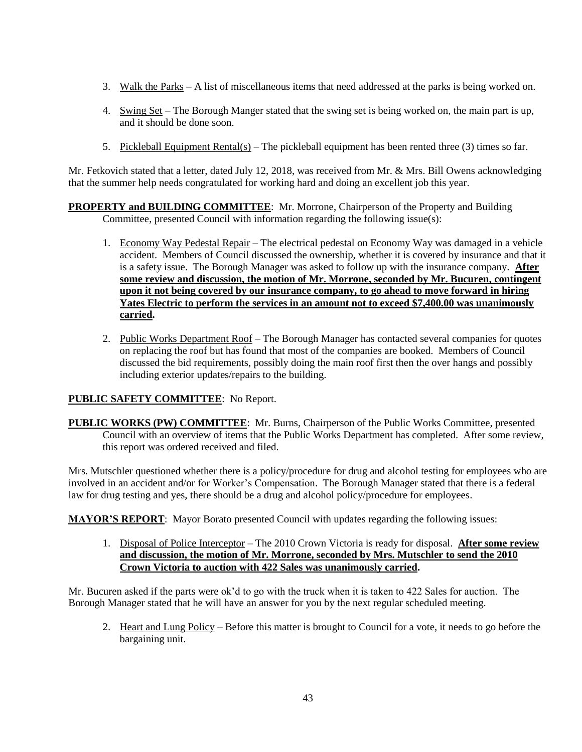- 3. Walk the Parks A list of miscellaneous items that need addressed at the parks is being worked on.
- 4. Swing Set The Borough Manger stated that the swing set is being worked on, the main part is up, and it should be done soon.
- 5. Pickleball Equipment Rental(s) The pickleball equipment has been rented three (3) times so far.

Mr. Fetkovich stated that a letter, dated July 12, 2018, was received from Mr. & Mrs. Bill Owens acknowledging that the summer help needs congratulated for working hard and doing an excellent job this year.

## **PROPERTY and BUILDING COMMITTEE**: Mr. Morrone, Chairperson of the Property and Building Committee, presented Council with information regarding the following issue(s):

- 1. Economy Way Pedestal Repair The electrical pedestal on Economy Way was damaged in a vehicle accident. Members of Council discussed the ownership, whether it is covered by insurance and that it is a safety issue. The Borough Manager was asked to follow up with the insurance company. **After some review and discussion, the motion of Mr. Morrone, seconded by Mr. Bucuren, contingent upon it not being covered by our insurance company, to go ahead to move forward in hiring Yates Electric to perform the services in an amount not to exceed \$7,400.00 was unanimously carried.**
- 2. Public Works Department Roof The Borough Manager has contacted several companies for quotes on replacing the roof but has found that most of the companies are booked. Members of Council discussed the bid requirements, possibly doing the main roof first then the over hangs and possibly including exterior updates/repairs to the building.

# **PUBLIC SAFETY COMMITTEE**: No Report.

**PUBLIC WORKS (PW) COMMITTEE**: Mr. Burns, Chairperson of the Public Works Committee, presented Council with an overview of items that the Public Works Department has completed. After some review, this report was ordered received and filed.

Mrs. Mutschler questioned whether there is a policy/procedure for drug and alcohol testing for employees who are involved in an accident and/or for Worker's Compensation. The Borough Manager stated that there is a federal law for drug testing and yes, there should be a drug and alcohol policy/procedure for employees.

**MAYOR'S REPORT**: Mayor Borato presented Council with updates regarding the following issues:

1. Disposal of Police Interceptor – The 2010 Crown Victoria is ready for disposal. **After some review and discussion, the motion of Mr. Morrone, seconded by Mrs. Mutschler to send the 2010 Crown Victoria to auction with 422 Sales was unanimously carried.**

Mr. Bucuren asked if the parts were ok'd to go with the truck when it is taken to 422 Sales for auction. The Borough Manager stated that he will have an answer for you by the next regular scheduled meeting.

2. Heart and Lung Policy – Before this matter is brought to Council for a vote, it needs to go before the bargaining unit.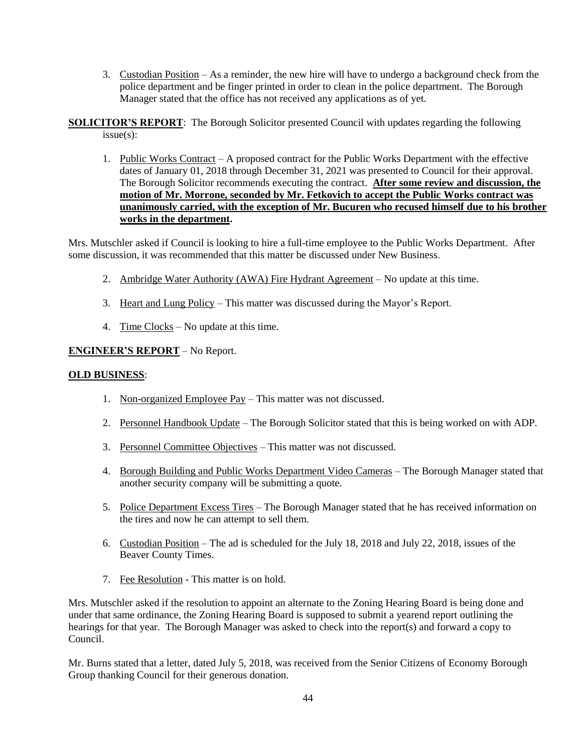- 3. Custodian Position As a reminder, the new hire will have to undergo a background check from the police department and be finger printed in order to clean in the police department. The Borough Manager stated that the office has not received any applications as of yet.
- **SOLICITOR'S REPORT**: The Borough Solicitor presented Council with updates regarding the following issue(s):
	- 1. Public Works Contract A proposed contract for the Public Works Department with the effective dates of January 01, 2018 through December 31, 2021 was presented to Council for their approval. The Borough Solicitor recommends executing the contract. **After some review and discussion, the motion of Mr. Morrone, seconded by Mr. Fetkovich to accept the Public Works contract was unanimously carried, with the exception of Mr. Bucuren who recused himself due to his brother works in the department.**

Mrs. Mutschler asked if Council is looking to hire a full-time employee to the Public Works Department. After some discussion, it was recommended that this matter be discussed under New Business.

- 2. Ambridge Water Authority (AWA) Fire Hydrant Agreement No update at this time.
- 3. Heart and Lung Policy This matter was discussed during the Mayor's Report.
- 4. Time Clocks No update at this time.

### **ENGINEER'S REPORT** – No Report.

#### **OLD BUSINESS**:

- 1. Non-organized Employee Pay This matter was not discussed.
- 2. Personnel Handbook Update The Borough Solicitor stated that this is being worked on with ADP.
- 3. Personnel Committee Objectives This matter was not discussed.
- 4. Borough Building and Public Works Department Video Cameras The Borough Manager stated that another security company will be submitting a quote.
- 5. Police Department Excess Tires The Borough Manager stated that he has received information on the tires and now he can attempt to sell them.
- 6. Custodian Position The ad is scheduled for the July 18, 2018 and July 22, 2018, issues of the Beaver County Times.
- 7. Fee Resolution This matter is on hold.

Mrs. Mutschler asked if the resolution to appoint an alternate to the Zoning Hearing Board is being done and under that same ordinance, the Zoning Hearing Board is supposed to submit a yearend report outlining the hearings for that year. The Borough Manager was asked to check into the report(s) and forward a copy to Council.

Mr. Burns stated that a letter, dated July 5, 2018, was received from the Senior Citizens of Economy Borough Group thanking Council for their generous donation.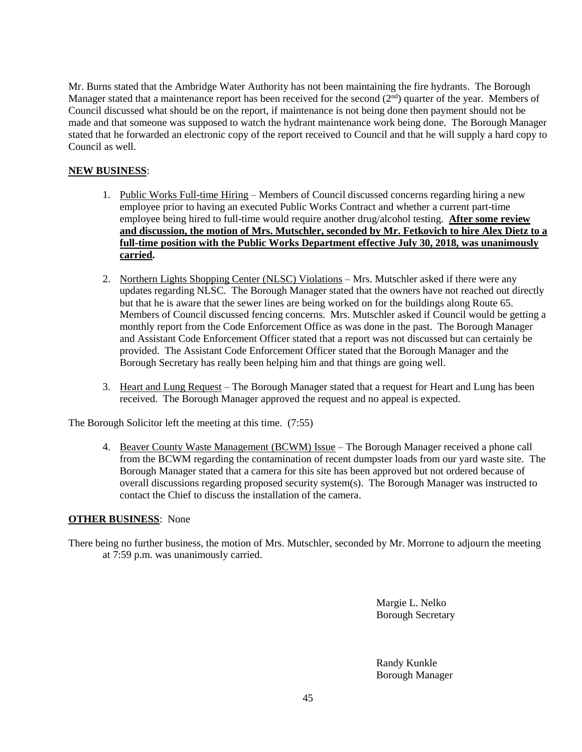Mr. Burns stated that the Ambridge Water Authority has not been maintaining the fire hydrants. The Borough Manager stated that a maintenance report has been received for the second  $(2<sup>nd</sup>)$  quarter of the year. Members of Council discussed what should be on the report, if maintenance is not being done then payment should not be made and that someone was supposed to watch the hydrant maintenance work being done. The Borough Manager stated that he forwarded an electronic copy of the report received to Council and that he will supply a hard copy to Council as well.

# **NEW BUSINESS**:

- 1. Public Works Full-time Hiring Members of Council discussed concerns regarding hiring a new employee prior to having an executed Public Works Contract and whether a current part-time employee being hired to full-time would require another drug/alcohol testing. **After some review and discussion, the motion of Mrs. Mutschler, seconded by Mr. Fetkovich to hire Alex Dietz to a full-time position with the Public Works Department effective July 30, 2018, was unanimously carried.**
- 2. Northern Lights Shopping Center (NLSC) Violations Mrs. Mutschler asked if there were any updates regarding NLSC. The Borough Manager stated that the owners have not reached out directly but that he is aware that the sewer lines are being worked on for the buildings along Route 65. Members of Council discussed fencing concerns. Mrs. Mutschler asked if Council would be getting a monthly report from the Code Enforcement Office as was done in the past. The Borough Manager and Assistant Code Enforcement Officer stated that a report was not discussed but can certainly be provided. The Assistant Code Enforcement Officer stated that the Borough Manager and the Borough Secretary has really been helping him and that things are going well.
- 3. Heart and Lung Request The Borough Manager stated that a request for Heart and Lung has been received. The Borough Manager approved the request and no appeal is expected.

The Borough Solicitor left the meeting at this time. (7:55)

4. Beaver County Waste Management (BCWM) Issue – The Borough Manager received a phone call from the BCWM regarding the contamination of recent dumpster loads from our yard waste site. The Borough Manager stated that a camera for this site has been approved but not ordered because of overall discussions regarding proposed security system(s). The Borough Manager was instructed to contact the Chief to discuss the installation of the camera.

### **OTHER BUSINESS**: None

There being no further business, the motion of Mrs. Mutschler, seconded by Mr. Morrone to adjourn the meeting at 7:59 p.m. was unanimously carried.

> Margie L. Nelko Borough Secretary

Randy Kunkle Borough Manager